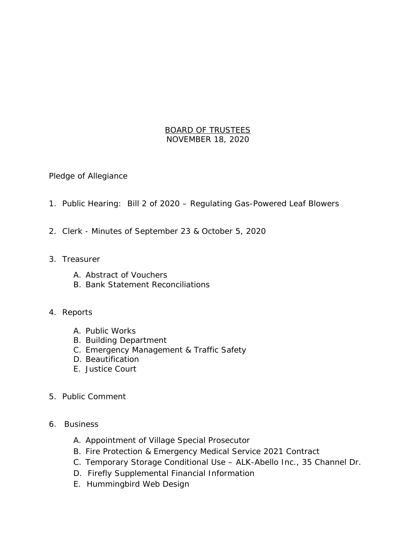## BOARD OF TRUSTEES NOVEMBER 18, 2020

Pledge of Allegiance

- 1. Public Hearing: Bill 2 of 2020 Regulating Gas-Powered Leaf Blowers
- 2. Clerk Minutes of September 23 & October 5, 2020
- 3. Treasurer
	- A. Abstract of Vouchers
	- B. Bank Statement Reconciliations
- 4. Reports
	- A. Public Works
	- B. Building Department
	- C. Emergency Management & Traffic Safety
	- D. Beautification
	- E. Justice Court
- 5. Public Comment
- 6. Business
	- A. Appointment of Village Special Prosecutor
	- B. Fire Protection & Emergency Medical Service 2021 Contract
	- C. Temporary Storage Conditional Use ALK-Abello Inc., 35 Channel Dr.
	- D. Firefly Supplemental Financial Information
	- E. Hummingbird Web Design